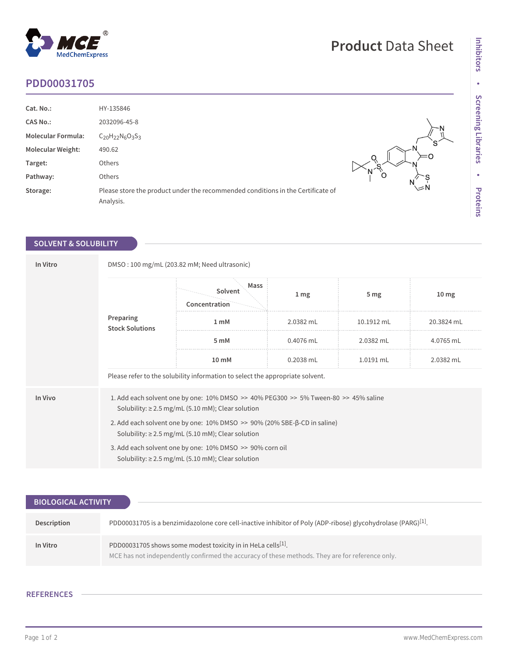## **PDD00031705**

MedChemExpress

 $^\circledR$ 

| Cat. No.:                 | HY-135846                                                                                    |              |
|---------------------------|----------------------------------------------------------------------------------------------|--------------|
| <b>CAS No.:</b>           | 2032096-45-8                                                                                 |              |
| <b>Molecular Formula:</b> | $C_{20}H_{22}N_6O_3S_3$                                                                      | S.           |
| <b>Molecular Weight:</b>  | 490.62                                                                                       |              |
| Target:                   | Others                                                                                       |              |
| Pathway:                  | Others                                                                                       | Ő            |
| Storage:                  | Please store the product under the recommended conditions in the Certificate of<br>Analysis. | $\mathsf{M}$ |

## **SOLVENT & SOLUBILITY**

| In Vitro | DMSO: 100 mg/mL (203.82 mM; Need ultrasonic)                                                                                                     |                                                                                                                    |                 |                 |                  |  |
|----------|--------------------------------------------------------------------------------------------------------------------------------------------------|--------------------------------------------------------------------------------------------------------------------|-----------------|-----------------|------------------|--|
|          | Preparing<br><b>Stock Solutions</b>                                                                                                              | Mass<br>Solvent<br>Concentration                                                                                   | 1 <sub>mg</sub> | 5 <sub>mg</sub> | 10 <sub>mg</sub> |  |
|          |                                                                                                                                                  | 1 <sub>m</sub> M                                                                                                   | 2.0382 mL       | 10.1912 mL      | 20.3824 mL       |  |
|          |                                                                                                                                                  | 5 mM                                                                                                               | $0.4076$ mL     | 2.0382 mL       | 4.0765 mL        |  |
|          |                                                                                                                                                  | 10 mM                                                                                                              | 0.2038 mL       | 1.0191 mL       | 2.0382 mL        |  |
|          |                                                                                                                                                  | Please refer to the solubility information to select the appropriate solvent.                                      |                 |                 |                  |  |
| In Vivo  | 1. Add each solvent one by one: 10% DMSO >> 40% PEG300 >> 5% Tween-80 >> 45% saline<br>Solubility: $\geq$ 2.5 mg/mL (5.10 mM); Clear solution    |                                                                                                                    |                 |                 |                  |  |
|          | 2. Add each solvent one by one: $10\%$ DMSO $\gg$ 90% (20% SBE- $\beta$ -CD in saline)<br>Solubility: $\geq$ 2.5 mg/mL (5.10 mM); Clear solution |                                                                                                                    |                 |                 |                  |  |
|          |                                                                                                                                                  | 3. Add each solvent one by one: 10% DMSO >> 90% corn oil<br>Solubility: $\geq$ 2.5 mg/mL (5.10 mM); Clear solution |                 |                 |                  |  |

| <b>BIOLOGICAL ACTIVITY</b> |                                                                                                                                                                             |  |  |  |
|----------------------------|-----------------------------------------------------------------------------------------------------------------------------------------------------------------------------|--|--|--|
|                            |                                                                                                                                                                             |  |  |  |
| Description                | PDD00031705 is a benzimidazolone core cell-inactive inhibitor of Poly (ADP-ribose) glycohydrolase (PARG) $[1]$ .                                                            |  |  |  |
| In Vitro                   | PDD00031705 shows some modest toxicity in in HeLa cells <sup>[1]</sup> .<br>MCE has not independently confirmed the accuracy of these methods. They are for reference only. |  |  |  |

## **REFERENCES**